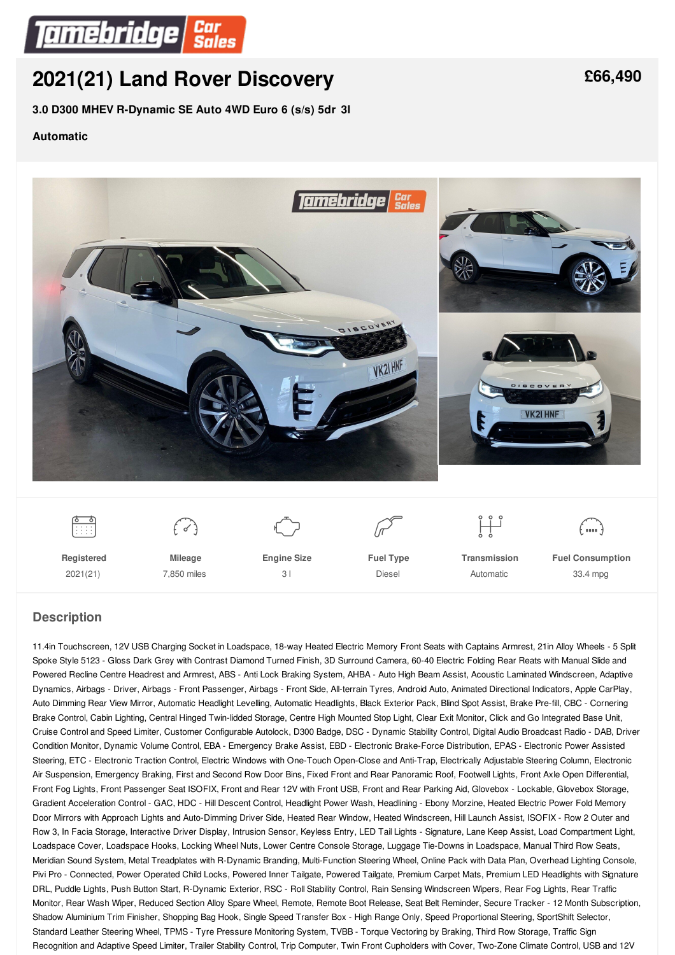

# **2021(21) Land Rover [Discovery](/used-cars/pdf/)**

**3.0 D300 MHEV R-Dynamic SE Auto 4WD Euro 6 (s/s) 5dr 3l**

#### **Automatic**



2021(21)

7,850 miles

 $3<sup>1</sup>$ 

Diesel

**Automatic** 

33.4 mpg

### **Description**

11.4in Touchscreen, 12V USB Charging Socket in Loadspace, 18-way Heated Electric Memory Front Seats with Captains Armrest, 21in Alloy Wheels - 5 Split Spoke Style 5123 - Gloss Dark Grey with Contrast Diamond Turned Finish, 3D Surround Camera, 60-40 Electric Folding Rear Reats with Manual Slide and Powered Recline Centre Headrest and Armrest, ABS - Anti Lock Braking System, AHBA - Auto High Beam Assist, Acoustic Laminated Windscreen, Adaptive Dynamics, Airbags - Driver, Airbags - Front Passenger, Airbags - Front Side, All-terrain Tyres, Android Auto, Animated Directional Indicators, Apple CarPlay, Auto Dimming Rear View Mirror, Automatic Headlight Levelling, Automatic Headlights, Black Exterior Pack, Blind Spot Assist, Brake Pre-fill, CBC - Cornering Brake Control, Cabin Lighting, Central Hinged Twin-lidded Storage, Centre High Mounted Stop Light, Clear Exit Monitor, Click and Go Integrated Base Unit, Cruise Control and Speed Limiter, Customer Configurable Autolock, D300 Badge, DSC - Dynamic Stability Control, Digital Audio Broadcast Radio - DAB, Driver Condition Monitor, Dynamic Volume Control, EBA - Emergency Brake Assist, EBD - Electronic Brake-Force Distribution, EPAS - Electronic Power Assisted Steering, ETC - Electronic Traction Control, Electric Windows with One-Touch Open-Close and Anti-Trap, Electrically Adjustable Steering Column, Electronic Air Suspension, Emergency Braking, First and Second Row Door Bins, Fixed Front and Rear Panoramic Roof, Footwell Lights, Front Axle Open Differential, Front Fog Lights, Front Passenger Seat ISOFIX, Front and Rear 12V with Front USB, Front and Rear Parking Aid, Glovebox - Lockable, Glovebox Storage, Gradient Acceleration Control - GAC, HDC - Hill Descent Control, Headlight Power Wash, Headlining - Ebony Morzine, Heated Electric Power Fold Memory Door Mirrors with Approach Lights and Auto-Dimming Driver Side, Heated Rear Window, Heated Windscreen, Hill Launch Assist, ISOFIX - Row 2 Outer and Row 3, In Facia Storage, Interactive Driver Display, Intrusion Sensor, Keyless Entry, LED Tail Lights - Signature, Lane Keep Assist, Load Compartment Light, Loadspace Cover, Loadspace Hooks, Locking Wheel Nuts, Lower Centre Console Storage, Luggage Tie-Downs in Loadspace, Manual Third Row Seats, Meridian Sound System, Metal Treadplates with R-Dynamic Branding, Multi-Function Steering Wheel, Online Pack with Data Plan, Overhead Lighting Console, Pivi Pro - Connected, Power Operated Child Locks, Powered Inner Tailgate, Powered Tailgate, Premium Carpet Mats, Premium LED Headlights with Signature DRL, Puddle Lights, Push Button Start, R-Dynamic Exterior, RSC - Roll Stability Control, Rain Sensing Windscreen Wipers, Rear Fog Lights, Rear Traffic Monitor, Rear Wash Wiper, Reduced Section Alloy Spare Wheel, Remote, Remote Boot Release, Seat Belt Reminder, Secure Tracker - 12 Month Subscription, Shadow Aluminium Trim Finisher, Shopping Bag Hook, Single Speed Transfer Box - High Range Only, Speed Proportional Steering, SportShift Selector, Standard Leather Steering Wheel, TPMS - Tyre Pressure Monitoring System, TVBB - Torque Vectoring by Braking, Third Row Storage, Traffic Sign Recognition and Adaptive Speed Limiter, Trailer Stability Control, Trip Computer, Twin Front Cupholders with Cover, Two-Zone Climate Control, USB and 12V